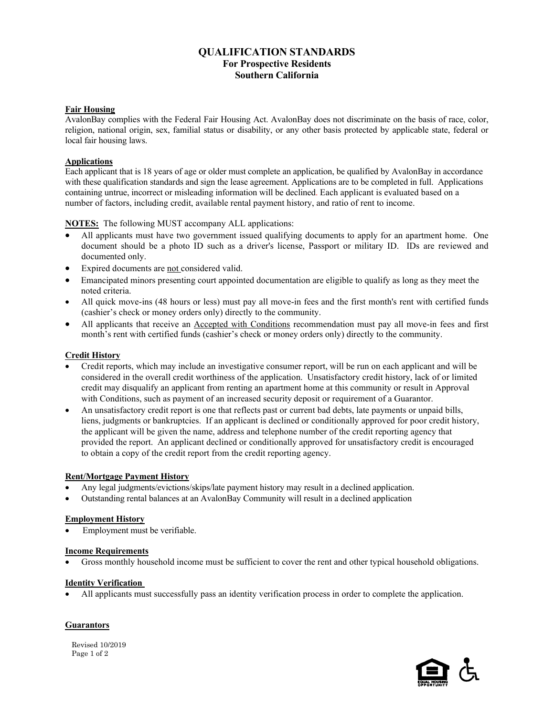# **QUALIFICATION STANDARDS For Prospective Residents Southern California**

### **Fair Housing**

AvalonBay complies with the Federal Fair Housing Act. AvalonBay does not discriminate on the basis of race, color, religion, national origin, sex, familial status or disability, or any other basis protected by applicable state, federal or local fair housing laws.

### **Applications**

Each applicant that is 18 years of age or older must complete an application, be qualified by AvalonBay in accordance with these qualification standards and sign the lease agreement. Applications are to be completed in full. Applications containing untrue, incorrect or misleading information will be declined. Each applicant is evaluated based on a number of factors, including credit, available rental payment history, and ratio of rent to income.

**NOTES:** The following MUST accompany ALL applications:

- All applicants must have two government issued qualifying documents to apply for an apartment home. One document should be a photo ID such as a driver's license, Passport or military ID. IDs are reviewed and documented only.
- Expired documents are not considered valid.
- Emancipated minors presenting court appointed documentation are eligible to qualify as long as they meet the noted criteria.
- All quick move-ins (48 hours or less) must pay all move-in fees and the first month's rent with certified funds (cashier's check or money orders only) directly to the community.
- All applicants that receive an Accepted with Conditions recommendation must pay all move-in fees and first month's rent with certified funds (cashier's check or money orders only) directly to the community.

### **Credit History**

- Credit reports, which may include an investigative consumer report, will be run on each applicant and will be considered in the overall credit worthiness of the application. Unsatisfactory credit history, lack of or limited credit may disqualify an applicant from renting an apartment home at this community or result in Approval with Conditions, such as payment of an increased security deposit or requirement of a Guarantor.
- An unsatisfactory credit report is one that reflects past or current bad debts, late payments or unpaid bills, liens, judgments or bankruptcies. If an applicant is declined or conditionally approved for poor credit history, the applicant will be given the name, address and telephone number of the credit reporting agency that provided the report. An applicant declined or conditionally approved for unsatisfactory credit is encouraged to obtain a copy of the credit report from the credit reporting agency.

#### **Rent/Mortgage Payment History**

- Any legal judgments/evictions/skips/late payment history may result in a declined application.
- Outstanding rental balances at an AvalonBay Community will result in a declined application

#### **Employment History**

• Employment must be verifiable.

#### **Income Requirements**

• Gross monthly household income must be sufficient to cover the rent and other typical household obligations.

#### **Identity Verification**

• All applicants must successfully pass an identity verification process in order to complete the application.

## **Guarantors**

Revised  $10/2019$ <br>Paga  $1 \text{ of } 2$ Page 1 of 2